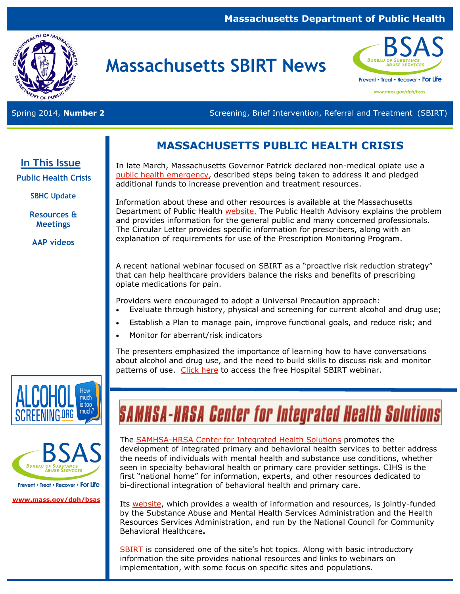### **Massachusetts Department of Public Health**



## **Massachusetts SBIRT News**



www.mass.gov/dph/bsas

Spring 2014, **Number 2** Screening, Brief Intervention, Referral and Treatment (SBIRT)

### **MASSACHUSETTS PUBLIC HEALTH CRISIS**

**In This Issue** 

**Public Health Crisis**

**SBHC Update** 

**Resources & Meetings**

**AAP videos**

In late March, Massachusetts Governor Patrick declared non-medical opiate use a [public health emergency,](http://www.mass.gov/eohhs/feature-story/end-opioid-abuse-in-mass.html) described steps being taken to address it and pledged additional funds to increase prevention and treatment resources.

Information about these and other resources is available at the Massachusetts Department of Public Health [website.](http://www.mass.gov/eohhs/feature-story/end-opioid-abuse-in-mass.html) The Public Health Advisory explains the problem and provides information for the general public and many concerned professionals. The Circular Letter provides specific information for prescribers, along with an explanation of requirements for use of the Prescription Monitoring Program.

A recent national webinar focused on SBIRT as a "proactive risk reduction strategy" that can help healthcare providers balance the risks and benefits of prescribing opiate medications for pain.

Providers were encouraged to adopt a Universal Precaution approach:

- Evaluate through history, physical and screening for current alcohol and drug use;
- Establish a Plan to manage pain, improve functional goals, and reduce risk; and
- Monitor for aberrant/risk indicators

The presenters emphasized the importance of learning how to have conversations about alcohol and drug use, and the need to build skills to discuss risk and monitor patterns of use. [Click here](http://hospitalsbirt.webs.com/opioidssbirt.htm) to access the free Hospital SBIRT webinar.





Prevent • Treat • Recover • For Life

**[www.mass.gov/dph/bsas](http://www.mass.gov/dph/bsas)**

# **SAMHSA-HRSA Center for Integrated Health Solutions**

#### The **SAMHSA-HRSA Center for Integrated Health Solutions** promotes the

development of integrated primary and behavioral health services to better address the needs of individuals with mental health and substance use conditions, whether seen in specialty behavioral health or primary care provider settings. CIHS is the first "national home" for information, experts, and other resources dedicated to bi-directional integration of behavioral health and primary care.

Its [website,](http://www.integration.samhsa.gov/) which provides a wealth of information and resources, is jointly-funded by the [Substance Abuse and Mental Health Services Administration](http://www.samhsa.gov/) and the [Health](http://www.hrsa.gov/index.html)  [Resources Services Administration,](http://www.hrsa.gov/index.html) and run by the [National Council for Community](http://www.thenationalcouncil.org/cs/home)  [Behavioral Healthcare](http://www.thenationalcouncil.org/cs/home)**.** 

[SBIRT](http://www.integration.samhsa.gov/clinical-practice/sbirt) is considered one of the site's hot topics. Along with basic introductory information the site provides national resources and links to webinars on implementation, with some focus on specific sites and populations.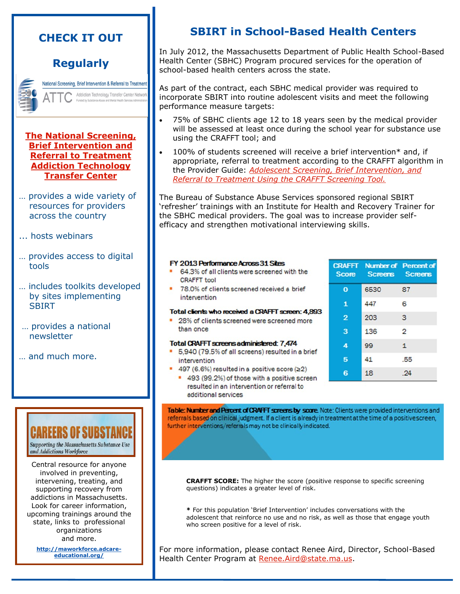### **CHECK IT OUT**

### **Regularly**

National Screening, Brief Intervention & Referral to Treatment Addiction Technology Transfer Center Netw Funded hy Substance Ahuse and Mental Ha

#### **[The National Screening,](http://www.attcnetwork.org/regcenters/index_nfa_sbirt.asp?rcid=21)  [Brief Intervention and](http://www.attcnetwork.org/regcenters/index_nfa_sbirt.asp?rcid=21)  [Referral to Treatment](http://www.attcnetwork.org/regcenters/index_nfa_sbirt.asp?rcid=21)  [Addiction Technology](http://www.attcnetwork.org/regcenters/index_nfa_sbirt.asp?rcid=21)  [Transfer Center](http://www.attcnetwork.org/regcenters/index_nfa_sbirt.asp?rcid=21)**

- … provides a wide variety of resources for providers across the country
- ... hosts webinars
- … provides access to digital tools
- … includes toolkits developed by sites implementing **SBIRT**
- … provides a national newsletter
- … and much more.

Supporting the Massachusetts Substance Use and Addictions Workforce

Central resource for anyone involved in preventing, intervening, treating, and supporting recovery from addictions in Massachusetts. Look for career information, upcoming trainings around the state, links to professional organizations and more.

**[http://maworkforce.adcare](http://maworkforce.adcare-educational.org/)[educational.org/](http://maworkforce.adcare-educational.org/)** 

### **SBIRT in School-Based Health Centers**

In July 2012, the Massachusetts Department of Public Health School-Based Health Center (SBHC) Program procured services for the operation of school-based health centers across the state.

As part of the contract, each SBHC medical provider was required to incorporate SBIRT into routine adolescent visits and meet the following performance measure targets:

- 75% of SBHC clients age 12 to 18 years seen by the medical provider will be assessed at least once during the school year for substance use using the CRAFFT tool; and
- 100% of students screened will receive a brief intervention\* and, if appropriate, referral to treatment according to the CRAFFT algorithm in the Provider Guide: *[Adolescent Screening, Brief Intervention, and](http://www.mass.gov/eohhs/docs/dph/substance-abuse/sbirt/crafft-provider-guide.pdf)  [Referral to Treatment Using the CRAFFT Screening Tool.](http://www.mass.gov/eohhs/docs/dph/substance-abuse/sbirt/crafft-provider-guide.pdf)*

The Bureau of Substance Abuse Services sponsored regional SBIRT 'refresher' trainings with an Institute for Health and Recovery Trainer for the SBHC medical providers. The goal was to increase provider selfefficacy and strengthen motivational interviewing skills.

#### FY 2013 Performance Across 31 Sites

- 64.3% of all clients were screened with the **CRAFFT** tool
- 78.0% of clients screened received a brief intervention

#### Total clients who received a CRAFFT screen: 4.893

• 28% of clients screened were screened more than once

#### **Total CRAFFT screens administered: 7,474**

- 5,940 (79.5% of all screens) resulted in a brief ٠ intervention
- 497 (6.6%) resulted in a positive score (≥2)
- 493 (99.2%) of those with a positive screen resulted in an intervention or referral to additional services

18 24

Table: Number and Percent of CRAFFT screens by score. Note: Clients were provided interventions and referrals based on clinical judgment. If a client is already in treatment at the time of a positive screen, further interventions/referrals may not be clinically indicated.

**CRAFFT SCORE:** The higher the score (positive response to specific screening questions) indicates a greater level of risk.

**\*** For this population 'Brief Intervention' includes conversations with the adolescent that reinforce no use and no risk, as well as those that engage youth who screen positive for a level of risk.

For more information, please contact Renee Aird, Director, School-Based Health Center Program at Renee. Aird@state.ma.us.

|                | <b>CRAFFT Number of Percent of</b><br>Score Screens Screens |                |
|----------------|-------------------------------------------------------------|----------------|
| $\bf{o}$       | 6530                                                        | 87             |
| $\mathbf{1}$   | 447                                                         | 6              |
| $\overline{2}$ | 203                                                         | 3              |
| 3              | 136                                                         | $\overline{2}$ |
| 4              | 99                                                          | $\mathbf{1}$   |
| 5              | 41                                                          | .55            |
|                |                                                             |                |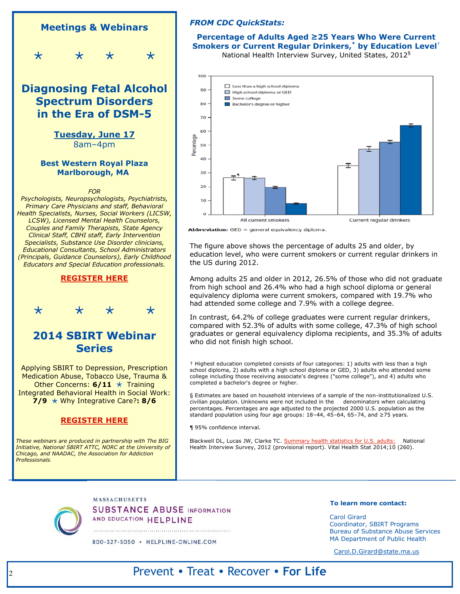

#### *FROM CDC QuickStats:*

**Percentage of Adults Aged ≥25 Years Who Were Current Smokers or Current Regular Drinkers,\* by Education Level**† National Health Interview Survey, United States, 2012§



Abbreviation: GED = general equivalency diploma.

The figure above shows the percentage of adults 25 and older, by education level, who were current smokers or current regular drinkers in the US during 2012.

Among adults 25 and older in 2012, 26.5% of those who did not graduate from high school and 26.4% who had a high school diploma or general equivalency diploma were current smokers, compared with 19.7% who had attended some college and 7.9% with a college degree.

In contrast, 64.2% of college graduates were current regular drinkers, compared with 52.3% of adults with some college, 47.3% of high school graduates or general equivalency diploma recipients, and 35.3% of adults who did not finish high school.

† Highest education completed consists of four categories: 1) adults with less than a high school diploma, 2) adults with a high school diploma or GED, 3) adults who attended some college including those receiving associate's degrees ("some college"), and 4) adults who completed a bachelor's degree or higher.

§ Estimates are based on household interviews of a sample of the non-institutionalized U.S. civilian population. Unknowns were not included in the denominators when calculating percentages. Percentages are age adjusted to the projected 2000 U.S. population as the standard population using four age groups: 18–44, 45–64, 65–74, and ≥75 years.

¶ 95% confidence interval.

Blackwell DL, Lucas JW, Clarke TC. [Summary health statistics for U.S. adults:](http://www.cdc.gov/nchs/data/series/sr_10/sr10_260.pdf) National Health Interview Survey, 2012 (provisional report). Vital Health Stat 2014;10 (260).

**MASSACHUSETTS SUBSTANCE ABUSE INFORMATION** AND EDUCATION HELPLINE

800-327-5050 · HELPLINE-ONLINE.COM

#### **To learn more contact:**

Carol Girard Coordinator, SBIRT Programs Bureau of Substance Abuse Services MA Department of Public Health

[Carol.D.Girard@state.ma.us](mailto:Carol.D.Girard@state.ma.us) 

### Prevent • Treat • Recover • **For Life**